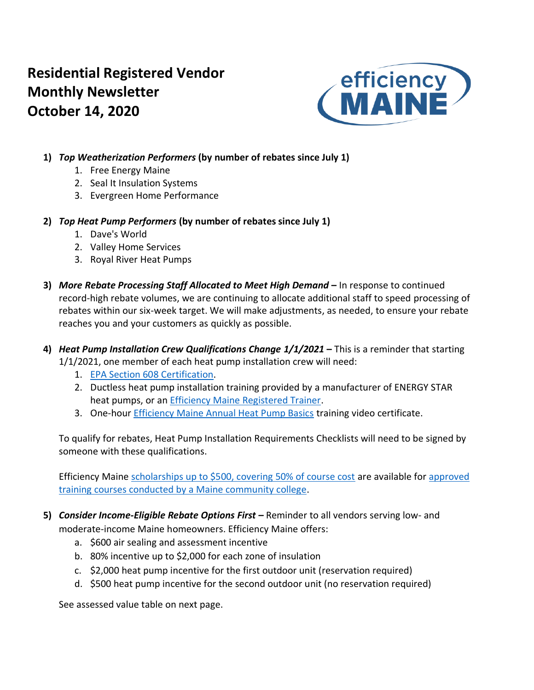# **Residential Registered Vendor Monthly Newsletter October 14, 2020**



# **1)** *Top Weatherization Performers* **(by number of rebates since July 1)**

- 1. Free Energy Maine
- 2. Seal It Insulation Systems
- 3. Evergreen Home Performance
- **2)** *Top Heat Pump Performers* **(by number of rebates since July 1)**
	- 1. Dave's World
	- 2. Valley Home Services
	- 3. Royal River Heat Pumps
- **3)** *More Rebate Processing Staff Allocated to Meet High Demand* **–** In response to continued record-high rebate volumes, we are continuing to allocate additional staff to speed processing of rebates within our six-week target. We will make adjustments, as needed, to ensure your rebate reaches you and your customers as quickly as possible.
- **4)** *Heat Pump Installation Crew Qualifications Change 1/1/2021* **–** This is a reminder that starting 1/1/2021, one member of each heat pump installation crew will need:
	- 1. [EPA Section 608 Certification.](https://www.epa.gov/section608/section-608-technician-certification-0)
	- 2. Ductless heat pump installation training provided by a manufacturer of ENERGY STAR heat pumps, or an **Efficiency Maine Registered Trainer**.
	- 3. One-hour [Efficiency Maine Annual Heat Pump Basics](https://www.efficiencymainetraining.com/) training video certificate.

To qualify for rebates, Heat Pump Installation Requirements Checklists will need to be signed by someone with these qualifications.

Efficiency Maine [scholarships up to \\$500, covering 50% of course cost](https://www.efficiencymaine.com/docs/RRV-Heat-Pump-Training-Scholarship-Application.pdf) are available for approved [training courses conducted by a Maine community college.](https://www.efficiencymaine.com/professional-training/)

**5)** *Consider Income-Eligible Rebate Options First –* Reminder to all vendors serving low- and moderate-income Maine homeowners. Efficiency Maine offers:

- a. \$600 air sealing and assessment incentive
- b. 80% incentive up to \$2,000 for each zone of insulation
- c. \$2,000 heat pump incentive for the first outdoor unit (reservation required)
- d. \$500 heat pump incentive for the second outdoor unit (no reservation required)

See assessed value table on next page.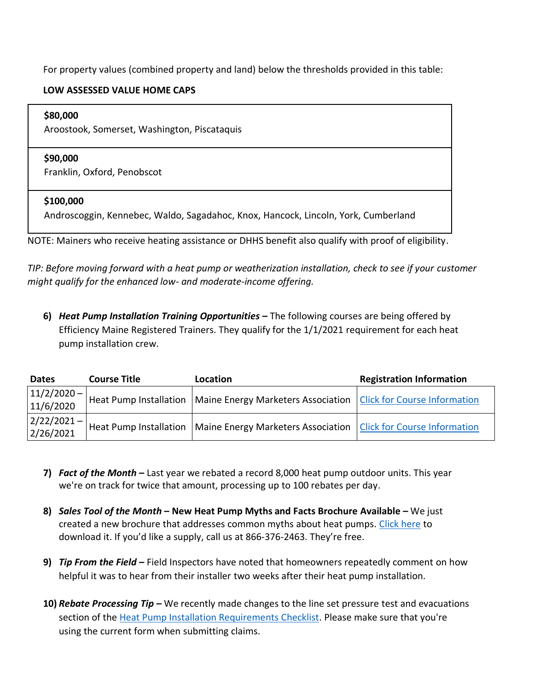For property values (combined property and land) below the thresholds provided in this table:

# **LOW ASSESSED VALUE HOME CAPS**

## **\$80,000**

Aroostook, Somerset, Washington, Piscataquis

## **\$90,000**

Franklin, Oxford, Penobscot

# **\$100,000**

Androscoggin, Kennebec, Waldo, Sagadahoc, Knox, Hancock, Lincoln, York, Cumberland

NOTE: Mainers who receive heating assistance or DHHS benefit also qualify with proof of eligibility.

*TIP: Before moving forward with a heat pump or weatherization installation, check to see if your customer might qualify for the enhanced low- and moderate-income offering.*

**6)** *Heat Pump Installation Training Opportunities* **–** The following courses are being offered by Efficiency Maine Registered Trainers. They qualify for the 1/1/2021 requirement for each heat pump installation crew.

| <b>Dates</b>                                       | <b>Course Title</b> | Location                                                                                   | <b>Registration Information</b> |  |  |  |
|----------------------------------------------------|---------------------|--------------------------------------------------------------------------------------------|---------------------------------|--|--|--|
| $ 11/2/2020 -  $<br>11/6/2020                      |                     | Heat Pump Installation   Maine Energy Marketers Association   Click for Course Information |                                 |  |  |  |
| $\left  \frac{2}{222/2021} - \right $<br>2/26/2021 |                     | Heat Pump Installation   Maine Energy Marketers Association   Click for Course Information |                                 |  |  |  |

- **7)** *Fact of the Month* **–** Last year we rebated a record 8,000 heat pump outdoor units. This year we're on track for twice that amount, processing up to 100 rebates per day.
- **8)** *Sales Tool of the Month* **– New Heat Pump Myths and Facts Brochure Available –** We just created a new brochure that addresses common myths about heat pumps. [Click here](https://www.efficiencymaine.com/docs/Heat-Pump-Myths-and-Facts.pdf) to download it. If you'd like a supply, call us at 866-376-2463. They're free.
- **9)** *Tip From the Field –* Field Inspectors have noted that homeowners repeatedly comment on how helpful it was to hear from their installer two weeks after their heat pump installation.
- **10)** *Rebate Processing Tip –* We recently made changes to the line set pressure test and evacuations section of the [Heat Pump Installation Requirements Checklist.](https://www.efficiencymaine.com/docs/Residential-Heat-Pump-Installation-Checklist.pdf) Please make sure that you're using the current form when submitting claims.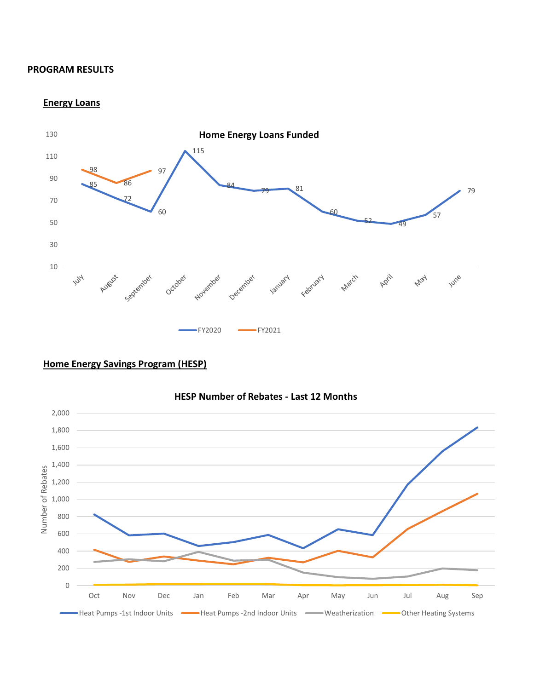#### **PROGRAM RESULTS**

**Energy Loans**







## **HESP Number of Rebates - Last 12 Months**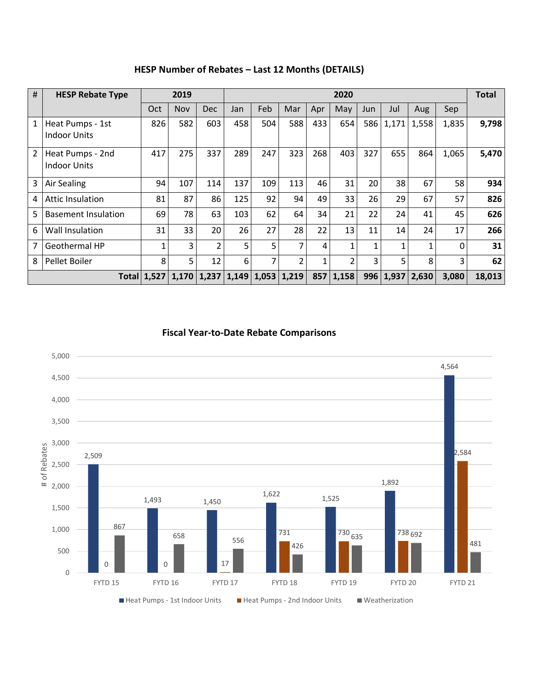| #            | <b>HESP Rebate Type</b>                 | 2019               |            |            | 2020  |     |                |              |                |     |                  |       | Total        |        |
|--------------|-----------------------------------------|--------------------|------------|------------|-------|-----|----------------|--------------|----------------|-----|------------------|-------|--------------|--------|
|              |                                         | Oct                | <b>Nov</b> | <b>Dec</b> | Jan   | Feb | Mar            | Apr          | May            | Jun | Jul              | Aug   | Sep          |        |
| $\mathbf{1}$ | Heat Pumps - 1st<br><b>Indoor Units</b> | 826                | 582        | 603        | 458   | 504 | 588            | 433          | 654            | 586 | 1,171            | 1,558 | 1,835        | 9,798  |
| 2            | Heat Pumps - 2nd<br><b>Indoor Units</b> | 417                | 275        | 337        | 289   | 247 | 323            | 268          | 403            | 327 | 655              | 864   | 1,065        | 5,470  |
| 3            | <b>Air Sealing</b>                      | 94                 | 107        | 114        | 137   | 109 | 113            | 46           | 31             | 20  | 38               | 67    | 58           | 934    |
| 4            | <b>Attic Insulation</b>                 | 81                 | 87         | 86         | 125   | 92  | 94             | 49           | 33             | 26  | 29               | 67    | 57           | 826    |
| 5            | <b>Basement Insulation</b>              | 69                 | 78         | 63         | 103   | 62  | 64             | 34           | 21             | 22  | 24               | 41    | 45           | 626    |
| 6            | Wall Insulation                         | 31                 | 33         | 20         | 26    | 27  | 28             | 22           | 13             | 11  | 14               | 24    | 17           | 266    |
| 7            | <b>Geothermal HP</b>                    | 1                  | 3          | 2          | 5     | 5   | 7              | 4            |                | 1   |                  | 1     | $\mathbf{0}$ | 31     |
| 8            | Pellet Boiler                           | 8                  | 5          | 12         | 6     | 7   | $\overline{2}$ | $\mathbf{1}$ | $\mathfrak{p}$ | 3   | 5                | 8     | 3            | 62     |
|              |                                         | <b>Total 1,527</b> | 1,170      | 1,237      | 1,149 |     | $1,053$ 1,219  |              | 857 1,158      |     | $996 \mid 1,937$ | 2,630 | 3,080        | 18,013 |

**HESP Number of Rebates – Last 12 Months (DETAILS)**

**Fiscal Year-to-Date Rebate Comparisons**

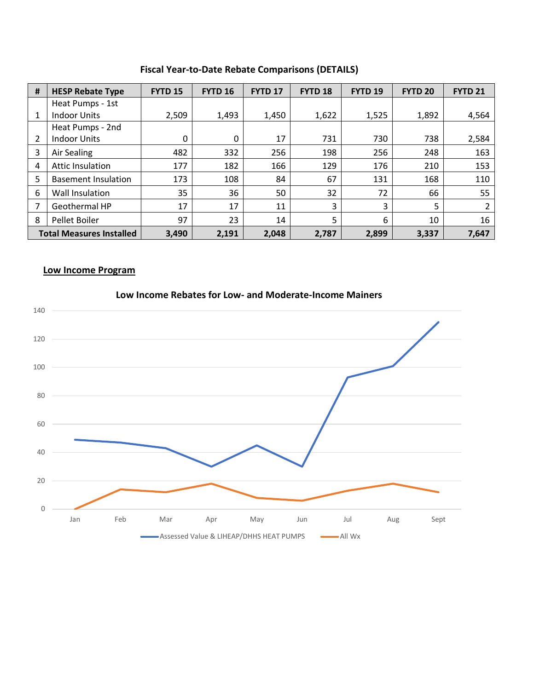| #                               | <b>HESP Rebate Type</b>    | <b>FYTD 15</b> | <b>FYTD 16</b> | FYTD <sub>17</sub> | FYTD <sub>18</sub> | FYTD <sub>19</sub> | <b>FYTD 20</b> | <b>FYTD 21</b> |  |
|---------------------------------|----------------------------|----------------|----------------|--------------------|--------------------|--------------------|----------------|----------------|--|
|                                 | Heat Pumps - 1st           |                |                |                    |                    |                    |                |                |  |
| 1                               | <b>Indoor Units</b>        | 2,509          | 1,493          | 1,450              | 1,622              | 1,525              | 1,892          | 4,564          |  |
|                                 | Heat Pumps - 2nd           |                |                |                    |                    |                    |                |                |  |
|                                 | <b>Indoor Units</b>        | 0              | 0              | 17                 | 731                | 730                | 738            | 2,584          |  |
| 3                               | Air Sealing                | 482            | 332            | 256                | 198                | 256                | 248            | 163            |  |
| 4                               | <b>Attic Insulation</b>    | 177            | 182            | 166                | 129                | 176                | 210            | 153            |  |
| 5                               | <b>Basement Insulation</b> | 173            | 108            | 84                 | 67                 | 131                | 168            | 110            |  |
| 6                               | Wall Insulation            | 35             | 36             | 50                 | 32                 | 72                 | 66             | 55             |  |
|                                 | Geothermal HP              | 17             | 17             | 11                 | 3                  | 3                  | 5              | 2              |  |
| 8                               | Pellet Boiler              | 97             | 23             | 14                 | 5                  | 6                  | 10             | 16             |  |
| <b>Total Measures Installed</b> |                            | 3,490          | 2,191          | 2,048              | 2,787              | 2,899              | 3,337          | 7,647          |  |

# **Fiscal Year-to-Date Rebate Comparisons (DETAILS)**

# **Low Income Program**



#### **Low Income Rebates for Low- and Moderate-Income Mainers**